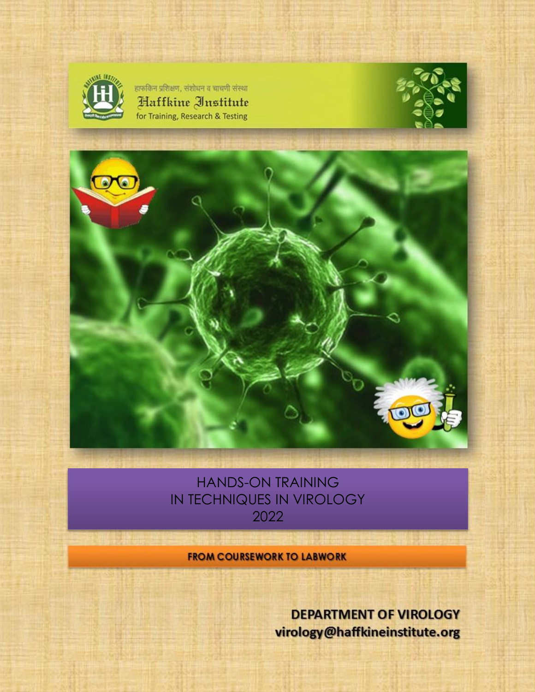

हाफकिन प्रशिक्षण, संशोधन व चाचणी संस्था Haffkine Institute for Training, Research & Testing





## HANDS-ON TRAINING IN TECHNIQUES IN VIROLOGY 2022

**FROM COURSEWORK TO LABWORK** 

**DEPARTMENT OF VIROLOGY** virology@haffkineinstitute.org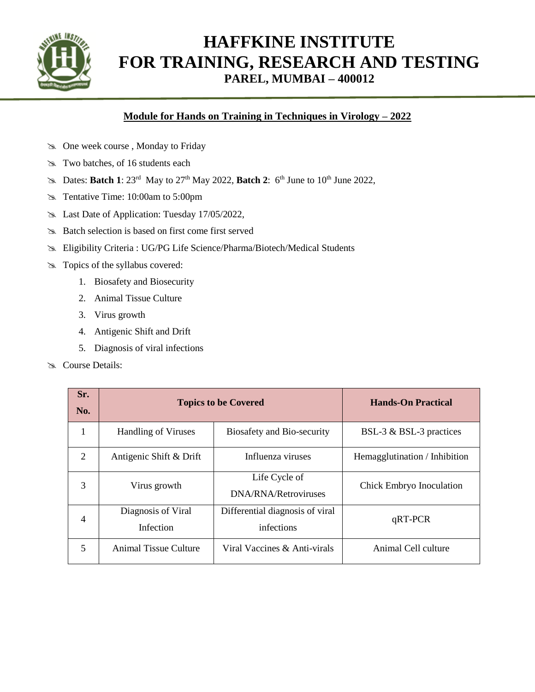

# **HAFFKINE INSTITUTE FOR TRAINING, RESEARCH AND TESTING PAREL, MUMBAI – 400012**

### **Module for Hands on Training in Techniques in Virology – 2022**

- One week course , Monday to Friday
- $\approx$  Two batches, of 16 students each
- $\approx$  Dates: **Batch 1**: 23<sup>rd</sup> May to 27<sup>th</sup> May 2022, **Batch 2**: 6<sup>th</sup> June to 10<sup>th</sup> June 2022,
- Tentative Time: 10:00am to 5:00pm
- Last Date of Application: Tuesday 17/05/2022,
- Batch selection is based on first come first served
- Eligibility Criteria : UG/PG Life Science/Pharma/Biotech/Medical Students
- Topics of the syllabus covered:
	- 1. Biosafety and Biosecurity
	- 2. Animal Tissue Culture
	- 3. Virus growth
	- 4. Antigenic Shift and Drift
	- 5. Diagnosis of viral infections
- Sex Course Details:

| Sr.<br>No.     | <b>Topics to be Covered</b>            |                                               | <b>Hands-On Practical</b>     |
|----------------|----------------------------------------|-----------------------------------------------|-------------------------------|
| 1              | <b>Handling of Viruses</b>             | Biosafety and Bio-security                    | BSL-3 & BSL-3 practices       |
| 2              | Antigenic Shift & Drift                | Influenza viruses                             | Hemagglutination / Inhibition |
| 3              | Virus growth                           | Life Cycle of<br>DNA/RNA/Retroviruses         | Chick Embryo Inoculation      |
| $\overline{4}$ | Diagnosis of Viral<br><b>Infection</b> | Differential diagnosis of viral<br>infections | $qRT-PCR$                     |
| 5              | Animal Tissue Culture                  | Viral Vaccines & Anti-virals                  | Animal Cell culture           |